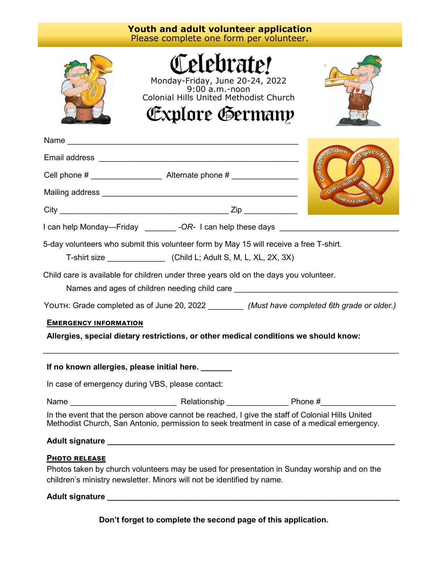| <b>Youth and adult volunteer application</b><br>Please complete one form per volunteer.                                                |                                                                                                                                                                                                |                                          |  |
|----------------------------------------------------------------------------------------------------------------------------------------|------------------------------------------------------------------------------------------------------------------------------------------------------------------------------------------------|------------------------------------------|--|
|                                                                                                                                        | Celebrate!<br>Monday-Friday, June 20-24, 2022<br>9:00 a.m.-noon<br>Colonial Hills United Methodist Church<br>Explore Germany                                                                   |                                          |  |
|                                                                                                                                        |                                                                                                                                                                                                | sdom.                                    |  |
|                                                                                                                                        |                                                                                                                                                                                                |                                          |  |
|                                                                                                                                        |                                                                                                                                                                                                | God gile <sub>es</sub><br>God is with us |  |
|                                                                                                                                        |                                                                                                                                                                                                | Cod creates                              |  |
|                                                                                                                                        |                                                                                                                                                                                                |                                          |  |
| I can help Monday—Friday ________ -OR- I can help these days ___________________                                                       |                                                                                                                                                                                                |                                          |  |
| 5-day volunteers who submit this volunteer form by May 15 will receive a free T-shirt.                                                 |                                                                                                                                                                                                |                                          |  |
| Child care is available for children under three years old on the days you volunteer.<br>Names and ages of children needing child care |                                                                                                                                                                                                |                                          |  |
| YOUTH: Grade completed as of June 20, 2022 _________ (Must have completed 6th grade or older.)                                         |                                                                                                                                                                                                |                                          |  |
| <b>EMERGENCY INFORMATION</b><br>Allergies, special dietary restrictions, or other medical conditions we should know:                   |                                                                                                                                                                                                |                                          |  |
| If no known allergies, please initial here. ______                                                                                     |                                                                                                                                                                                                |                                          |  |
|                                                                                                                                        | In case of emergency during VBS, please contact:                                                                                                                                               |                                          |  |
|                                                                                                                                        |                                                                                                                                                                                                |                                          |  |
|                                                                                                                                        | In the event that the person above cannot be reached, I give the staff of Colonial Hills United<br>Methodist Church, San Antonio, permission to seek treatment in case of a medical emergency. |                                          |  |
|                                                                                                                                        |                                                                                                                                                                                                |                                          |  |
| <b>PHOTO RELEASE</b>                                                                                                                   | Photos taken by church volunteers may be used for presentation in Sunday worship and on the<br>children's ministry newsletter. Minors will not be identified by name.                          |                                          |  |
|                                                                                                                                        |                                                                                                                                                                                                |                                          |  |

**Don't forget to complete the second page of this application.**